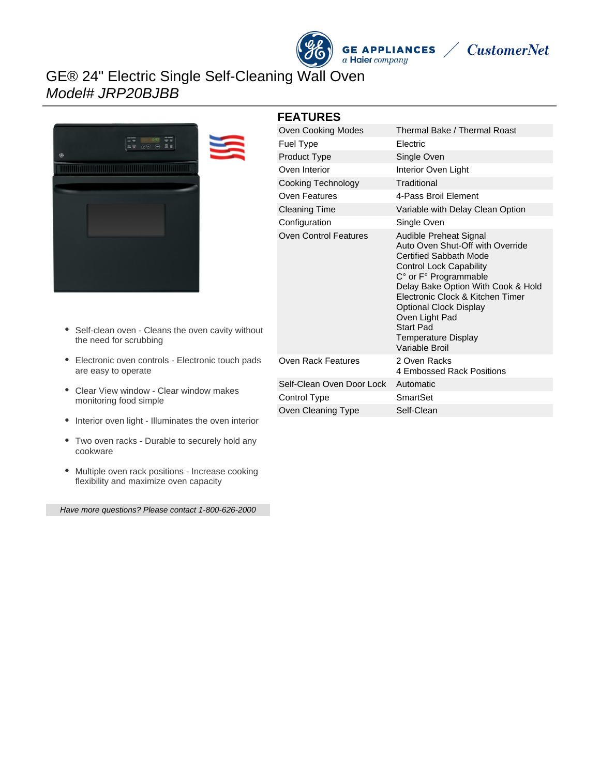## GE® 24" Electric Single Self-Cleaning Wall Oven Model# JRP20BJBB



# **FEATURES**

| <b>Oven Cooking Modes</b>    | Thermal Bake / Thermal Roast                                                                                                                                                                                                                                                                                                              |
|------------------------------|-------------------------------------------------------------------------------------------------------------------------------------------------------------------------------------------------------------------------------------------------------------------------------------------------------------------------------------------|
| <b>Fuel Type</b>             | Electric                                                                                                                                                                                                                                                                                                                                  |
| Product Type                 | Single Oven                                                                                                                                                                                                                                                                                                                               |
| Oven Interior                | Interior Oven Light                                                                                                                                                                                                                                                                                                                       |
| Cooking Technology           | Traditional                                                                                                                                                                                                                                                                                                                               |
| Oven Features                | 4-Pass Broil Element                                                                                                                                                                                                                                                                                                                      |
| <b>Cleaning Time</b>         | Variable with Delay Clean Option                                                                                                                                                                                                                                                                                                          |
| Configuration                | Single Oven                                                                                                                                                                                                                                                                                                                               |
| <b>Oven Control Features</b> | Audible Preheat Signal<br>Auto Oven Shut-Off with Override<br><b>Certified Sabbath Mode</b><br><b>Control Lock Capability</b><br>C° or F° Programmable<br>Delay Bake Option With Cook & Hold<br>Electronic Clock & Kitchen Timer<br>Optional Clock Display<br>Oven Light Pad<br>Start Pad<br><b>Temperature Display</b><br>Variable Broil |
| Oven Rack Features           | 2 Oven Racks<br>4 Embossed Rack Positions                                                                                                                                                                                                                                                                                                 |
| Self-Clean Oven Door Lock    | Automatic                                                                                                                                                                                                                                                                                                                                 |
| Control Type                 | SmartSet                                                                                                                                                                                                                                                                                                                                  |
| Oven Cleaning Type           | Self-Clean                                                                                                                                                                                                                                                                                                                                |

**GE APPLIANCES**<br>a Haier company

**CustomerNet** 

- Self-clean oven Cleans the oven cavity without the need for scrubbing
- Electronic oven controls Electronic touch pads are easy to operate
- Clear View window Clear window makes monitoring food simple
- Interior oven light Illuminates the oven interior
- Two oven racks Durable to securely hold any cookware
- Multiple oven rack positions Increase cooking flexibility and maximize oven capacity

Have more questions? Please contact 1-800-626-2000